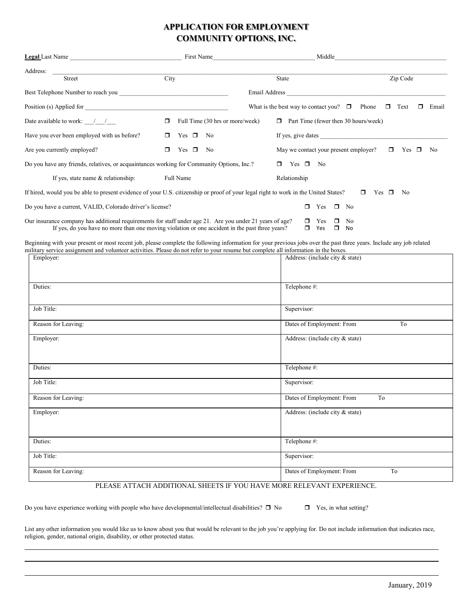## **APPLICATION FOR EMPLOYMENT COMMUNITY OPTIONS, INC.**

|                                                                                                                                                                                                            | First Name                                | Middle                                                 |                          |
|------------------------------------------------------------------------------------------------------------------------------------------------------------------------------------------------------------|-------------------------------------------|--------------------------------------------------------|--------------------------|
| Address:<br><b>Street</b>                                                                                                                                                                                  | City                                      | <b>State</b>                                           | Zip Code                 |
|                                                                                                                                                                                                            |                                           | Email Address                                          |                          |
| Position (s) Applied for                                                                                                                                                                                   |                                           | What is the best way to contact you? $\Box$<br>Phone   | Text<br>Email<br>$\Box$  |
| Date available to work: $\frac{1}{\sqrt{1-\frac{1}{2}}}$                                                                                                                                                   | $\Box$<br>Full Time (30 hrs or more/week) | Part Time (fewer then 30 hours/week)<br>п.             |                          |
| Have you ever been employed with us before?                                                                                                                                                                | Yes $\square$<br>No.<br>$\Box$            | If yes, give dates                                     |                          |
| Are you currently employed?                                                                                                                                                                                | $\Box$<br>Yes $\square$<br>No.            | May we contact your present employer?                  | 0<br>Yes<br>No<br>$\Box$ |
| Do you have any friends, relatives, or acquaintances working for Community Options, Inc.?                                                                                                                  |                                           | Yes $\Box$<br>- No                                     |                          |
| If yes, state name & relationship:                                                                                                                                                                         | Full Name                                 | Relationship                                           |                          |
| If hired, would you be able to present evidence of your U.S. citizenship or proof of your legal right to work in the United States?                                                                        |                                           | $\Box$                                                 | $\Box$<br>Yes<br>No      |
| Do you have a current, VALID, Colorado driver's license?                                                                                                                                                   |                                           | $\Box$<br>No<br>Yes<br>$\Box$                          |                          |
| Our insurance company has additional requirements for staff under age 21. Are you under 21 years of age?<br>If yes, do you have no more than one moving violation or one accident in the past three years? |                                           | N <sub>0</sub><br>Yes<br>⊓<br>$\Box$<br>Yes<br>σ<br>No |                          |

Beginning with your present or most recent job, please complete the following information for your previous jobs over the past three years. Include any job related military service assignment and volunteer activities. Please do not refer to your resume but complete all information in the boxes.

| Employer:           | Address: (include city & state) |
|---------------------|---------------------------------|
| Duties:             | Telephone #:                    |
| Job Title:          | Supervisor:                     |
| Reason for Leaving: | Dates of Employment: From<br>To |
| Employer:           | Address: (include city & state) |
| Duties:             | Telephone #:                    |
| Job Title:          | Supervisor:                     |
| Reason for Leaving: | Dates of Employment: From<br>To |
| Employer:           | Address: (include city & state) |
| Duties:             | Telephone #:                    |
| Job Title:          | Supervisor:                     |
| Reason for Leaving: | Dates of Employment: From<br>To |

## PLEASE ATTACH ADDITIONAL SHEETS IF YOU HAVE MORE RELEVANT EXPERIENCE.

Do you have experience working with people who have developmental/intellectual disabilities?  $\Box$  No  $\Box$  Yes, in what setting?

List any other information you would like us to know about you that would be relevant to the job you're applying for. Do not include information that indicates race, religion, gender, national origin, disability, or other protected status.